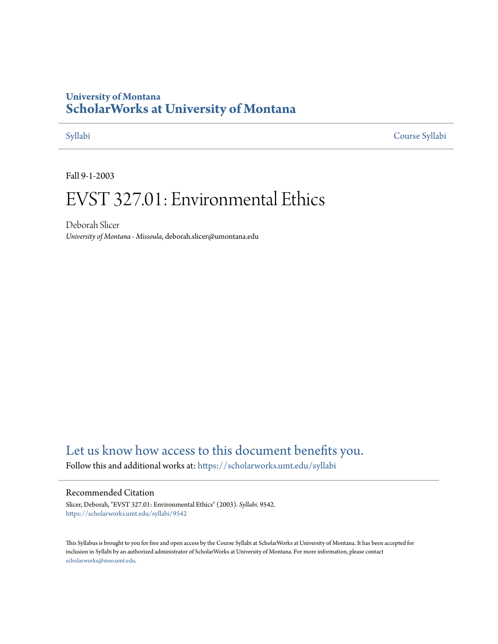## **University of Montana [ScholarWorks at University of Montana](https://scholarworks.umt.edu?utm_source=scholarworks.umt.edu%2Fsyllabi%2F9542&utm_medium=PDF&utm_campaign=PDFCoverPages)**

[Syllabi](https://scholarworks.umt.edu/syllabi?utm_source=scholarworks.umt.edu%2Fsyllabi%2F9542&utm_medium=PDF&utm_campaign=PDFCoverPages) [Course Syllabi](https://scholarworks.umt.edu/course_syllabi?utm_source=scholarworks.umt.edu%2Fsyllabi%2F9542&utm_medium=PDF&utm_campaign=PDFCoverPages)

Fall 9-1-2003

# EVST 327.01: Environmental Ethics

Deborah Slicer *University of Montana - Missoula*, deborah.slicer@umontana.edu

## [Let us know how access to this document benefits you.](https://goo.gl/forms/s2rGfXOLzz71qgsB2)

Follow this and additional works at: [https://scholarworks.umt.edu/syllabi](https://scholarworks.umt.edu/syllabi?utm_source=scholarworks.umt.edu%2Fsyllabi%2F9542&utm_medium=PDF&utm_campaign=PDFCoverPages)

#### Recommended Citation

Slicer, Deborah, "EVST 327.01: Environmental Ethics" (2003). *Syllabi*. 9542. [https://scholarworks.umt.edu/syllabi/9542](https://scholarworks.umt.edu/syllabi/9542?utm_source=scholarworks.umt.edu%2Fsyllabi%2F9542&utm_medium=PDF&utm_campaign=PDFCoverPages)

This Syllabus is brought to you for free and open access by the Course Syllabi at ScholarWorks at University of Montana. It has been accepted for inclusion in Syllabi by an authorized administrator of ScholarWorks at University of Montana. For more information, please contact [scholarworks@mso.umt.edu](mailto:scholarworks@mso.umt.edu).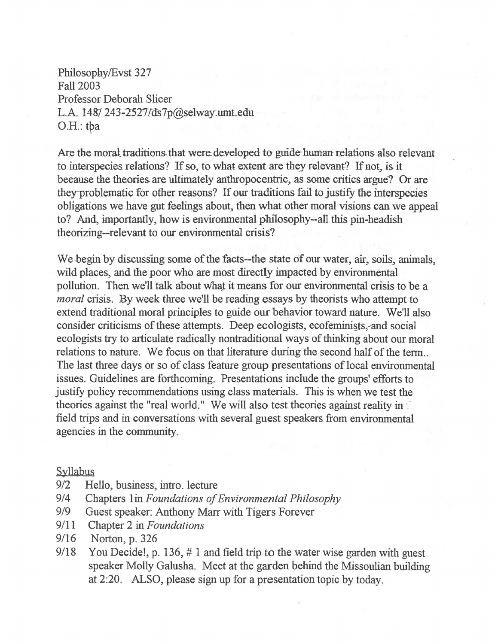Philosophy/Evst 327 Fall 2003 Professor Deborah Slicer L.A.  $148/243-2527/ds7p$ @selway.umt.edu O.H.: tpa

Are the moral traditions that were developed to guide human relations also relevant to interspecies relations? If so, to what extent are they relevant? If not, is it because the theories are ultimately anthropocentric, as some critics argue? Or are they-problematic for other reasons? If our traditions fail to justify the interspecies obligations we have gut feelings about, then what other moral visions can we appeal to? And, importantly, how is environmental philosophy--all this pin-headish theorizing--relevant to our environmental crisis?

We begin by discussing some of the facts--the state of our water, air, soils, animals, wild places, and the poor who are most directly impacted by environmental pollution. Then we'll talk about what it means for our environmental crisis to be a *moral* crisis. By week three we'll be reading essays by theorists who attempt to extend traditional moral principles to guide our behavior toward nature. We'll also consider criticisms of these attempts. Deep ecologists, ecofeminists, and social ecologists try to articulate radically nontraditional ways of thinking about our moral relations to nature. We focus on that literature during the second half of the term.. The last three days or so of class feature group presentations of local environmental issues. Guidelines are forthcoming. Presentations include the groups' efforts to justify policy recommendations using class materials. This is when we test the theories against the "real world." We will also test theories against reality in field trips and in conversations with several guest speakers from environmental agencies in the community.

## Syllabus

- 9/2 Hello, business, intro. lecture
- 9/4 Chapters 1in *Foundations of Environmental Philosophy*
- 919 Guest speaker: Anthony Marr with Tigers Forever
- 9/11 Chapter 2 in *Foundations*
- 9/16 Norton, p. 326
- 9/18 You Decide!, p. 136,  $# 1$  and field trip to the water wise garden with guest speaker Molly Galusha. Meet at the garden behind the Missoulian building at 2:20. ALSO, please sign up for a presentation topic by today.